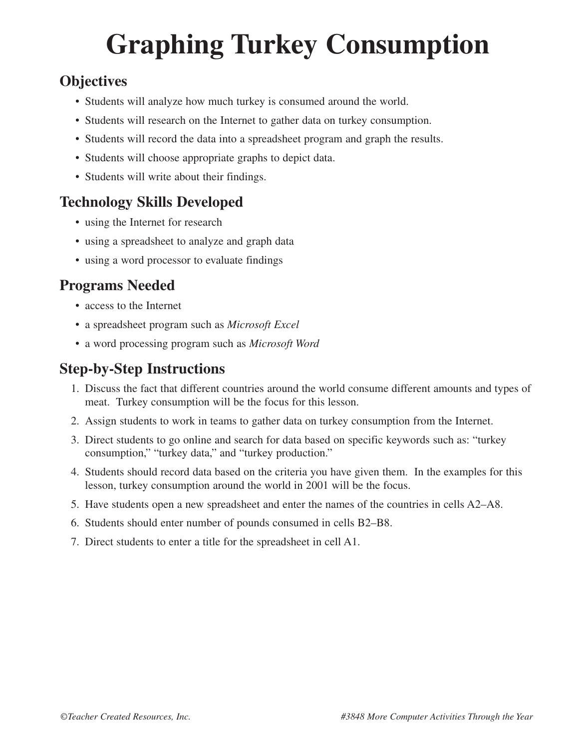# **Graphing Turkey Consumption**

### **Objectives**

- Students will analyze how much turkey is consumed around the world.
- Students will research on the Internet to gather data on turkey consumption.
- Students will record the data into a spreadsheet program and graph the results.
- Students will choose appropriate graphs to depict data.
- Students will write about their findings.

#### **Technology Skills Developed**

- using the Internet for research
- using a spreadsheet to analyze and graph data
- using a word processor to evaluate findings

#### **Programs Needed**

- access to the Internet
- a spreadsheet program such as *Microsoft Excel*
- a word processing program such as *Microsoft Word*

### **Step-by-Step Instructions**

- 1. Discuss the fact that different countries around the world consume different amounts and types of meat. Turkey consumption will be the focus for this lesson.
- 2. Assign students to work in teams to gather data on turkey consumption from the Internet.
- 3. Direct students to go online and search for data based on specific keywords such as: "turkey consumption," "turkey data," and "turkey production."
- 4. Students should record data based on the criteria you have given them. In the examples for this lesson, turkey consumption around the world in 2001 will be the focus.
- 5. Have students open a new spreadsheet and enter the names of the countries in cells A2–A8.
- 6. Students should enter number of pounds consumed in cells B2–B8.
- 7. Direct students to enter a title for the spreadsheet in cell A1.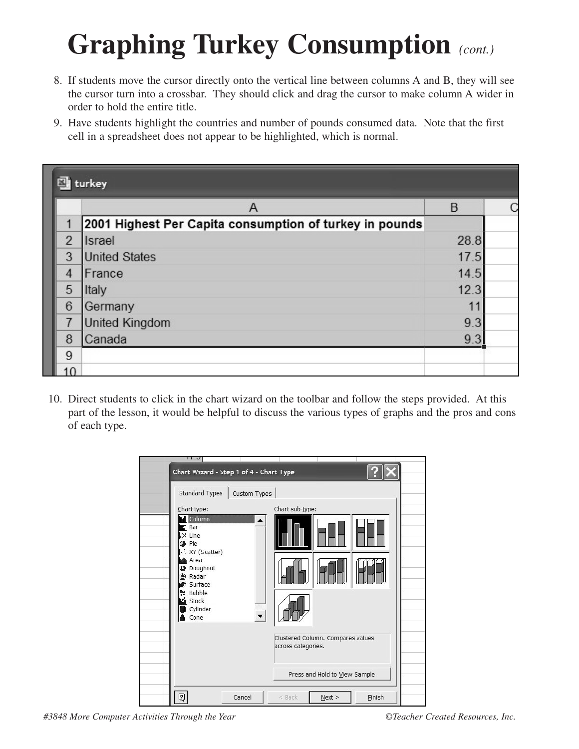- 8. If students move the cursor directly onto the vertical line between columns A and B, they will see the cursor turn into a crossbar. They should click and drag the cursor to make column A wider in order to hold the entire title.
- 9. Have students highlight the countries and number of pounds consumed data. Note that the first cell in a spreadsheet does not appear to be highlighted, which is normal.

| turkey          |                                                         |      |  |  |  |  |  |
|-----------------|---------------------------------------------------------|------|--|--|--|--|--|
|                 | Α                                                       | B    |  |  |  |  |  |
|                 | 2001 Highest Per Capita consumption of turkey in pounds |      |  |  |  |  |  |
| $\overline{2}$  | <b>Israel</b>                                           | 28.8 |  |  |  |  |  |
| 3               | <b>United States</b>                                    | 17.5 |  |  |  |  |  |
| 4               | France                                                  | 14.5 |  |  |  |  |  |
| 5               | Italy                                                   | 12.3 |  |  |  |  |  |
| $6\phantom{1}$  | Germany                                                 | 11   |  |  |  |  |  |
| 7               | <b>United Kingdom</b>                                   | 9.3  |  |  |  |  |  |
| 8               | Canada                                                  | 9.3  |  |  |  |  |  |
| 9               |                                                         |      |  |  |  |  |  |
| 10 <sup>1</sup> |                                                         |      |  |  |  |  |  |

10. Direct students to click in the chart wizard on the toolbar and follow the steps provided. At this part of the lesson, it would be helpful to discuss the various types of graphs and the pros and cons of each type.



*#3848 More Computer Activities Through the Year ©Teacher Created Resources, Inc.*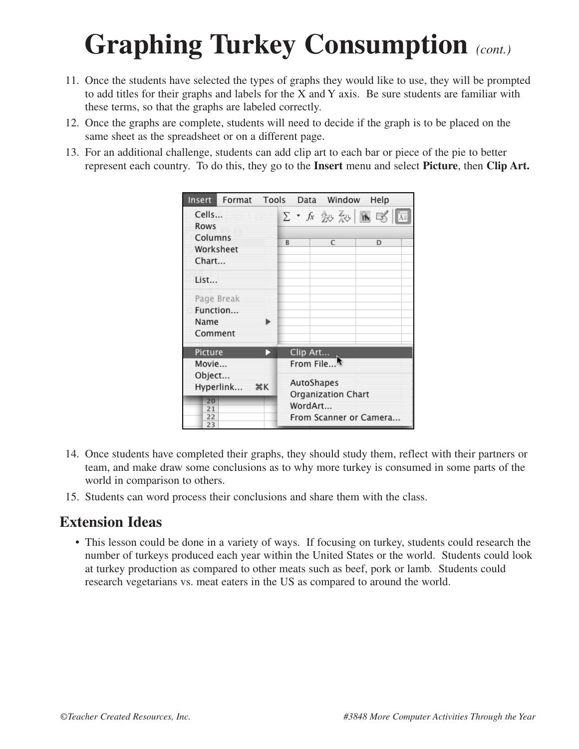- 11. Once the students have selected the types of graphs they would like to use, they will be prompted to add titles for their graphs and labels for the X and Y axis. Be sure students are familiar with these terms, so that the graphs are labeled correctly.
- 12. Once the graphs are complete, students will need to decide if the graph is to be placed on the same sheet as the spreadsheet or on a different page.
- 13. For an additional challenge, students can add clip art to each bar or piece of the pie to better represent each country. To do this, they go to the **Insert** menu and select **Picture**, then **Clip Art.**

|                                           | Insert Format Tools Data Window |   |                                   |          |                         |                    |  | Help                                                                                   |  |
|-------------------------------------------|---------------------------------|---|-----------------------------------|----------|-------------------------|--------------------|--|----------------------------------------------------------------------------------------|--|
| Cells<br>Rows                             |                                 |   |                                   |          |                         |                    |  | $\Sigma$ , $f_x$ $\frac{A}{A}$ $\frac{Z}{A}$ $\frac{B}{B}$ $\frac{B}{B}$ $\frac{B}{B}$ |  |
| Columns<br>Worksheet<br>Chart             |                                 |   | R                                 |          | C                       |                    |  | D                                                                                      |  |
| List                                      |                                 |   |                                   |          |                         |                    |  |                                                                                        |  |
| Page Break<br>Function<br>Name<br>Comment |                                 |   |                                   |          |                         |                    |  |                                                                                        |  |
| Picture                                   |                                 | D |                                   | Clip Art |                         |                    |  |                                                                                        |  |
| Movie<br>Object                           | Hyperlink <b></b> *K            |   |                                   |          | From File<br>AutoShapes | Organization Chart |  |                                                                                        |  |
| 20<br>21<br>22<br>23                      |                                 |   | WordArt<br>From Scanner or Camera |          |                         |                    |  |                                                                                        |  |

- 14. Once students have completed their graphs, they should study them, reflect with their partners or team, and make draw some conclusions as to why more turkey is consumed in some parts of the world in comparison to others.
- 15. Students can word process their conclusions and share them with the class.

#### **Extension Ideas**

• This lesson could be done in a variety of ways. If focusing on turkey, students could research the number of turkeys produced each year within the United States or the world. Students could look at turkey production as compared to other meats such as beef, pork or lamb. Students could research vegetarians vs. meat eaters in the US as compared to around the world.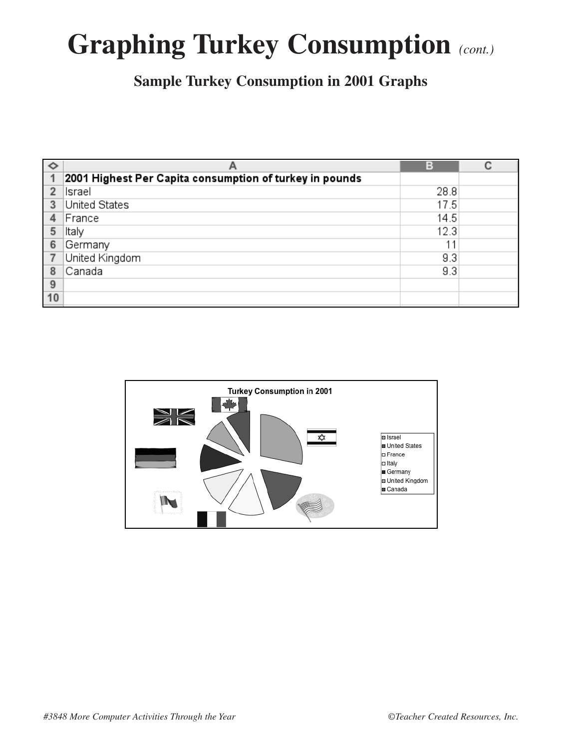**Sample Turkey Consumption in 2001 Graphs**

| $\Diamond$     |                                                         | в    |  |
|----------------|---------------------------------------------------------|------|--|
| 1              | 2001 Highest Per Capita consumption of turkey in pounds |      |  |
| $\overline{2}$ | Israel                                                  | 28.8 |  |
| 3              | United States                                           | 17.5 |  |
| 4              | France                                                  | 14.5 |  |
| 5              | ltaly                                                   | 12.3 |  |
| 6              | Germany                                                 | 11   |  |
|                | United Kingdom                                          | 9.3  |  |
| 8              | Canada                                                  | 9.3  |  |
| 9              |                                                         |      |  |
| 10             |                                                         |      |  |